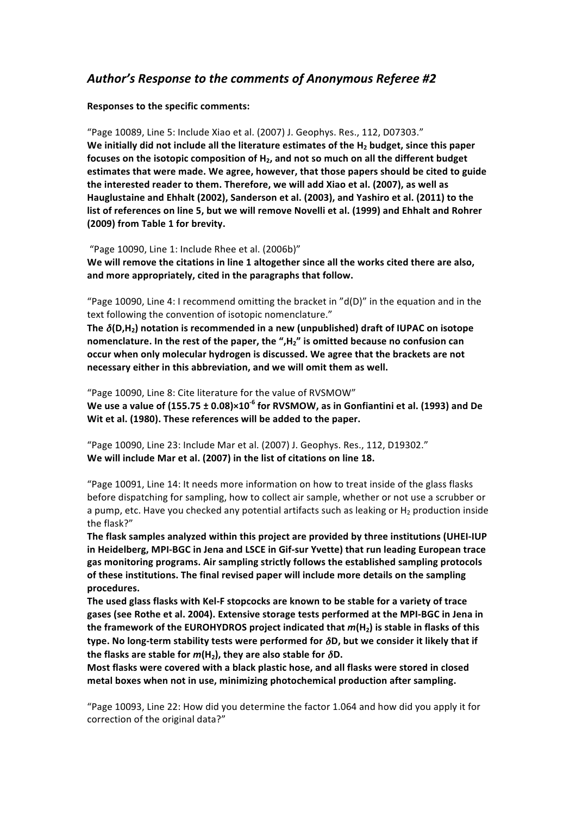## Author's Response to the comments of Anonymous Referee #2

**Responses to the specific comments:** 

"Page 10089, Line 5: Include Xiao et al. (2007) J. Geophys. Res., 112, D07303." We initially did not include all the literature estimates of the H<sub>2</sub> budget, since this paper focuses on the isotopic composition of H<sub>2</sub>, and not so much on all the different budget **estimates that were made. We agree, however, that those papers should be cited to guide** the interested reader to them. Therefore, we will add Xiao et al. (2007), as well as Hauglustaine and Ehhalt (2002), Sanderson et al. (2003), and Yashiro et al. (2011) to the list of references on line 5, but we will remove Novelli et al. (1999) and Ehhalt and Rohrer **(2009) from Table 1 for brevity.** 

"Page  $10090$ , Line 1: Include Rhee et al. (2006b)"

We will remove the citations in line 1 altogether since all the works cited there are also, and more appropriately, cited in the paragraphs that follow.

"Page 10090, Line 4: I recommend omitting the bracket in "d(D)" in the equation and in the text following the convention of isotopic nomenclature."

The  $\delta$ (D,H<sub>2</sub>) notation is recommended in a new (unpublished) draft of IUPAC on isotope **nomenclature. In the rest of the paper, the ",H<sub>2</sub>" is omitted because no confusion can occur when only molecular hydrogen is discussed. We agree that the brackets are not** necessary either in this abbreviation, and we will omit them as well.

"Page 10090, Line 8: Cite literature for the value of RVSMOW" **We use a value of (155.75**  $\pm$  **0.08)×10<sup>-6</sup> for RVSMOW, as in Gonfiantini et al. (1993) and De** Wit et al. (1980). These references will be added to the paper.

"Page 10090, Line 23: Include Mar et al. (2007) J. Geophys. Res., 112, D19302." We will include Mar et al. (2007) in the list of citations on line 18.

"Page 10091, Line 14: It needs more information on how to treat inside of the glass flasks before dispatching for sampling, how to collect air sample, whether or not use a scrubber or a pump, etc. Have you checked any potential artifacts such as leaking or  $H_2$  production inside the flask?"

The flask samples analyzed within this project are provided by three institutions (UHEI-IUP in Heidelberg, MPI-BGC in Jena and LSCE in Gif-sur Yvette) that run leading European trace gas monitoring programs. Air sampling strictly follows the established sampling protocols of these institutions. The final revised paper will include more details on the sampling **procedures.**

The used glass flasks with Kel-F stopcocks are known to be stable for a variety of trace gases (see Rothe et al. 2004). Extensive storage tests performed at the MPI-BGC in Jena in the framework of the EUROHYDROS project indicated that  $m(H_2)$  is stable in flasks of this type. No long-term stability tests were performed for  $δD$ , but we consider it likely that if **the flasks are stable for**  $m(H_2)$ **, they are also stable for**  $\delta D$ **.** 

Most flasks were covered with a black plastic hose, and all flasks were stored in closed metal boxes when not in use, minimizing photochemical production after sampling.

"Page 10093, Line 22: How did you determine the factor 1.064 and how did you apply it for correction of the original data?"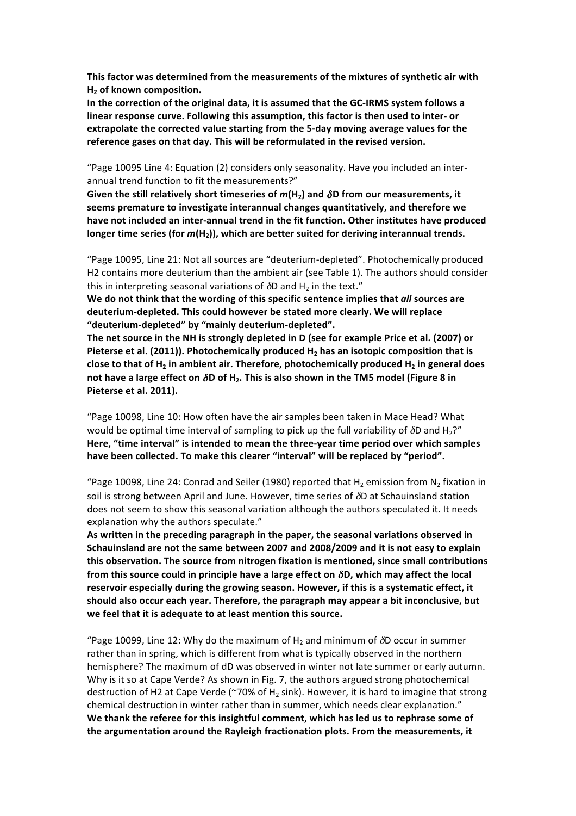This factor was determined from the measurements of the mixtures of synthetic air with **H<sub>2</sub>** of known composition.

In the correction of the original data, it is assumed that the GC-IRMS system follows a linear response curve. Following this assumption, this factor is then used to inter- or extrapolate the corrected value starting from the 5-day moving average values for the reference gases on that day. This will be reformulated in the revised version.

"Page 10095 Line 4: Equation (2) considers only seasonality. Have you included an interannual trend function to fit the measurements?"

Given the still relatively short timeseries of  $m(H_2)$  and  $\delta D$  from our measurements, it seems premature to investigate interannual changes quantitatively, and therefore we have not included an inter-annual trend in the fit function. Other institutes have produced longer time series (for  $m(H<sub>2</sub>)$ ), which are better suited for deriving interannual trends.

"Page 10095, Line 21: Not all sources are "deuterium-depleted". Photochemically produced H2 contains more deuterium than the ambient air (see Table 1). The authors should consider this in interpreting seasonal variations of  $\delta D$  and H<sub>2</sub> in the text."

We do not think that the wording of this specific sentence implies that all sources are deuterium-depleted. This could however be stated more clearly. We will replace "deuterium-depleted" by "mainly deuterium-depleted".

The net source in the NH is strongly depleted in D (see for example Price et al. (2007) or Pieterse et al. (2011)). Photochemically produced H<sub>2</sub> has an isotopic composition that is **close to that of H<sub>2</sub> in ambient air. Therefore, photochemically produced H<sub>2</sub> in general does not have a large effect on**  $\delta$ **D of H<sub>2</sub>. This is also shown in the TM5 model (Figure 8 in Pieterse et al. 2011).** 

"Page 10098, Line 10: How often have the air samples been taken in Mace Head? What would be optimal time interval of sampling to pick up the full variability of  $\delta D$  and H<sub>2</sub>?" **Here, "time interval" is intended to mean the three-year time period over which samples** have been collected. To make this clearer "interval" will be replaced by "period".

"Page 10098, Line 24: Conrad and Seiler (1980) reported that H<sub>2</sub> emission from N<sub>2</sub> fixation in soil is strong between April and June. However, time series of  $\delta D$  at Schauinsland station does not seem to show this seasonal variation although the authors speculated it. It needs explanation why the authors speculate."

As written in the preceding paragraph in the paper, the seasonal variations observed in Schauinsland are not the same between 2007 and 2008/2009 and it is not easy to explain this observation. The source from nitrogen fixation is mentioned, since small contributions from this source could in principle have a large effect on  $\delta$ D, which may affect the local reservoir especially during the growing season. However, if this is a systematic effect, it should also occur each year. Therefore, the paragraph may appear a bit inconclusive, but we feel that it is adequate to at least mention this source.

"Page 10099, Line 12: Why do the maximum of H<sub>2</sub> and minimum of  $\delta D$  occur in summer rather than in spring, which is different from what is typically observed in the northern hemisphere? The maximum of dD was observed in winter not late summer or early autumn. Why is it so at Cape Verde? As shown in Fig. 7, the authors argued strong photochemical destruction of H2 at Cape Verde (~70% of H<sub>2</sub> sink). However, it is hard to imagine that strong chemical destruction in winter rather than in summer, which needs clear explanation." We thank the referee for this insightful comment, which has led us to rephrase some of the argumentation around the Rayleigh fractionation plots. From the measurements, it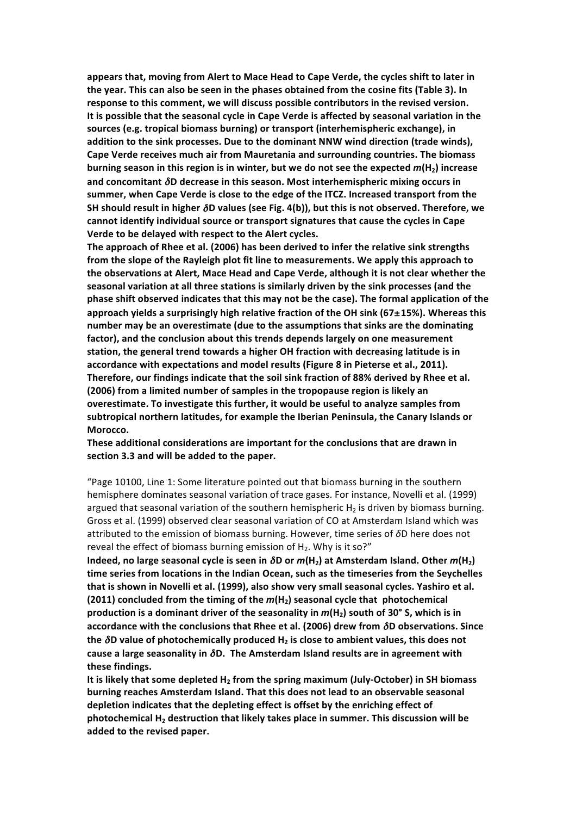appears that, moving from Alert to Mace Head to Cape Verde, the cycles shift to later in the year. This can also be seen in the phases obtained from the cosine fits (Table 3). In response to this comment, we will discuss possible contributors in the revised version. It is possible that the seasonal cycle in Cape Verde is affected by seasonal variation in the sources (e.g. tropical biomass burning) or transport (interhemispheric exchange), in addition to the sink processes. Due to the dominant NNW wind direction (trade winds), Cape Verde receives much air from Mauretania and surrounding countries. The biomass **burning season in this region is in winter, but we do not see the expected**  $m(H<sub>2</sub>)$  **increase and concomitant**  $δ$ **D decrease in this season. Most interhemispheric mixing occurs in** summer, when Cape Verde is close to the edge of the ITCZ. Increased transport from the **SH should result in higher** δD values (see Fig. 4(b)), but this is not observed. Therefore, we cannot identify individual source or transport signatures that cause the cycles in Cape Verde to be delayed with respect to the Alert cycles.

**The approach of Rhee et al. (2006) has been derived to infer the relative sink strengths** from the slope of the Rayleigh plot fit line to measurements. We apply this approach to the observations at Alert, Mace Head and Cape Verde, although it is not clear whether the seasonal variation at all three stations is similarly driven by the sink processes (and the phase shift observed indicates that this may not be the case). The formal application of the approach yields a surprisingly high relative fraction of the OH sink (67±15%). Whereas this **number may be an overestimate (due to the assumptions that sinks are the dominating** factor), and the conclusion about this trends depends largely on one measurement station, the general trend towards a higher OH fraction with decreasing latitude is in accordance with expectations and model results (Figure 8 in Pieterse et al., 2011). Therefore, our findings indicate that the soil sink fraction of 88% derived by Rhee et al. **(2006) from a limited number of samples in the tropopause region is likely an overestimate. To investigate this further, it would be useful to analyze samples from** subtropical northern latitudes, for example the Iberian Peninsula, the Canary Islands or **Morocco.**

## **These additional considerations are important for the conclusions that are drawn in** section 3.3 and will be added to the paper.

"Page 10100, Line 1: Some literature pointed out that biomass burning in the southern hemisphere dominates seasonal variation of trace gases. For instance, Novelli et al. (1999) argued that seasonal variation of the southern hemispheric  $H_2$  is driven by biomass burning. Gross et al. (1999) observed clear seasonal variation of CO at Amsterdam Island which was attributed to the emission of biomass burning. However, time series of  $δD$  here does not reveal the effect of biomass burning emission of  $H_2$ . Why is it so?"

**Indeed, no large seasonal cycle is seen in**  $\delta$ **D or**  $m(H_2)$  **at Amsterdam Island. Other**  $m(H_2)$ time series from locations in the Indian Ocean, such as the timeseries from the Seychelles that is shown in Novelli et al. (1999), also show very small seasonal cycles. Yashiro et al. **(2011)** concluded from the timing of the  $m(H_2)$  seasonal cycle that photochemical **production is a dominant driver of the seasonality in**  $m(H_2)$  **south of 30° S, which is in accordance with the conclusions that Rhee et al. (2006) drew from**  $\delta$ **D observations. Since** the  $\delta$ D value of photochemically produced H<sub>2</sub> is close to ambient values, this does not **cause a large seasonality in**  $\delta$ **D. The Amsterdam Island results are in agreement with** these findings.

It is likely that some depleted H<sub>2</sub> from the spring maximum (July-October) in SH biomass burning reaches Amsterdam Island. That this does not lead to an observable seasonal depletion indicates that the depleting effect is offset by the enriching effect of **photochemical H<sub>2</sub> destruction that likely takes place in summer. This discussion will be** added to the revised paper.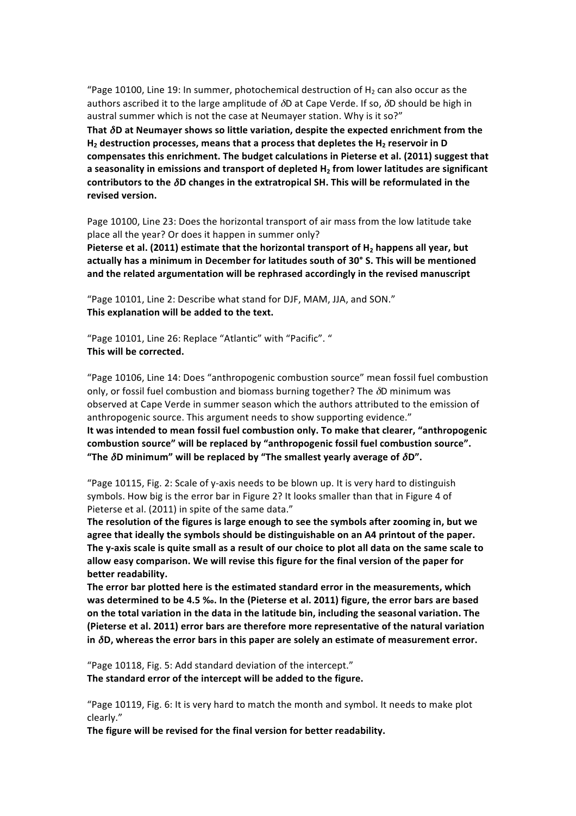"Page 10100, Line 19: In summer, photochemical destruction of H<sub>2</sub> can also occur as the authors ascribed it to the large amplitude of  $\delta D$  at Cape Verde. If so,  $\delta D$  should be high in austral summer which is not the case at Neumayer station. Why is it so?" That  $\delta$ D at Neumayer shows so little variation, despite the expected enrichment from the H<sub>2</sub> destruction processes, means that a process that depletes the H<sub>2</sub> reservoir in D compensates this enrichment. The budget calculations in Pieterse et al. (2011) suggest that a seasonality in emissions and transport of depleted H<sub>2</sub> from lower latitudes are significant **contributors to the**  $δD$  **changes in the extratropical SH. This will be reformulated in the** revised version.

Page 10100, Line 23: Does the horizontal transport of air mass from the low latitude take place all the year? Or does it happen in summer only?

Pieterse et al. (2011) estimate that the horizontal transport of H<sub>2</sub> happens all year, but actually has a minimum in December for latitudes south of 30° S. This will be mentioned and the related argumentation will be rephrased accordingly in the revised manuscript

"Page 10101, Line 2: Describe what stand for DJF, MAM, JJA, and SON." This explanation will be added to the text.

"Page 10101, Line 26: Replace "Atlantic" with "Pacific". " This will be corrected.

"Page 10106, Line 14: Does "anthropogenic combustion source" mean fossil fuel combustion only, or fossil fuel combustion and biomass burning together? The  $\delta$ D minimum was observed at Cape Verde in summer season which the authors attributed to the emission of anthropogenic source. This argument needs to show supporting evidence." It was intended to mean fossil fuel combustion only. To make that clearer, "anthropogenic combustion source" will be replaced by "anthropogenic fossil fuel combustion source". "The  $\delta$ D minimum" will be replaced by "The smallest yearly average of  $\delta$ D".

"Page 10115, Fig. 2: Scale of y-axis needs to be blown up. It is very hard to distinguish symbols. How big is the error bar in Figure 2? It looks smaller than that in Figure 4 of Pieterse et al. (2011) in spite of the same data."

The resolution of the figures is large enough to see the symbols after zooming in, but we agree that ideally the symbols should be distinguishable on an A4 printout of the paper. The y-axis scale is quite small as a result of our choice to plot all data on the same scale to allow easy comparison. We will revise this figure for the final version of the paper for **better readability.** 

The error bar plotted here is the estimated standard error in the measurements, which was determined to be 4.5 ‰. In the (Pieterse et al. 2011) figure, the error bars are based on the total variation in the data in the latitude bin, including the seasonal variation. The (Pieterse et al. 2011) error bars are therefore more representative of the natural variation in  $\delta$ D, whereas the error bars in this paper are solely an estimate of measurement error.

"Page 10118, Fig. 5: Add standard deviation of the intercept." The standard error of the intercept will be added to the figure.

"Page 10119, Fig. 6: It is very hard to match the month and symbol. It needs to make plot clearly."

The figure will be revised for the final version for better readability.